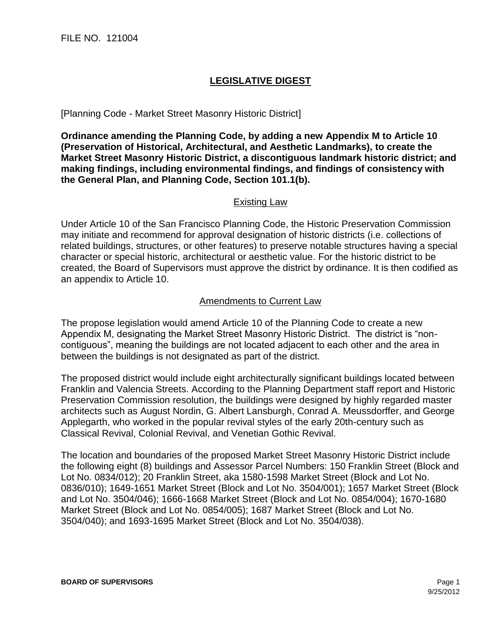## **LEGISLATIVE DIGEST**

[Planning Code - Market Street Masonry Historic District]

**Ordinance amending the Planning Code, by adding a new Appendix M to Article 10 (Preservation of Historical, Architectural, and Aesthetic Landmarks), to create the Market Street Masonry Historic District, a discontiguous landmark historic district; and making findings, including environmental findings, and findings of consistency with the General Plan, and Planning Code, Section 101.1(b).**

## Existing Law

Under Article 10 of the San Francisco Planning Code, the Historic Preservation Commission may initiate and recommend for approval designation of historic districts (i.e. collections of related buildings, structures, or other features) to preserve notable structures having a special character or special historic, architectural or aesthetic value. For the historic district to be created, the Board of Supervisors must approve the district by ordinance. It is then codified as an appendix to Article 10.

## Amendments to Current Law

The propose legislation would amend Article 10 of the Planning Code to create a new Appendix M, designating the Market Street Masonry Historic District. The district is "noncontiguous", meaning the buildings are not located adjacent to each other and the area in between the buildings is not designated as part of the district.

The proposed district would include eight architecturally significant buildings located between Franklin and Valencia Streets. According to the Planning Department staff report and Historic Preservation Commission resolution, the buildings were designed by highly regarded master architects such as August Nordin, G. Albert Lansburgh, Conrad A. Meussdorffer, and George Applegarth, who worked in the popular revival styles of the early 20th-century such as Classical Revival, Colonial Revival, and Venetian Gothic Revival.

The location and boundaries of the proposed Market Street Masonry Historic District include the following eight (8) buildings and Assessor Parcel Numbers: 150 Franklin Street (Block and Lot No. 0834/012); 20 Franklin Street, aka 1580-1598 Market Street (Block and Lot No. 0836/010); 1649-1651 Market Street (Block and Lot No. 3504/001); 1657 Market Street (Block and Lot No. 3504/046); 1666-1668 Market Street (Block and Lot No. 0854/004); 1670-1680 Market Street (Block and Lot No. 0854/005); 1687 Market Street (Block and Lot No. 3504/040); and 1693-1695 Market Street (Block and Lot No. 3504/038).